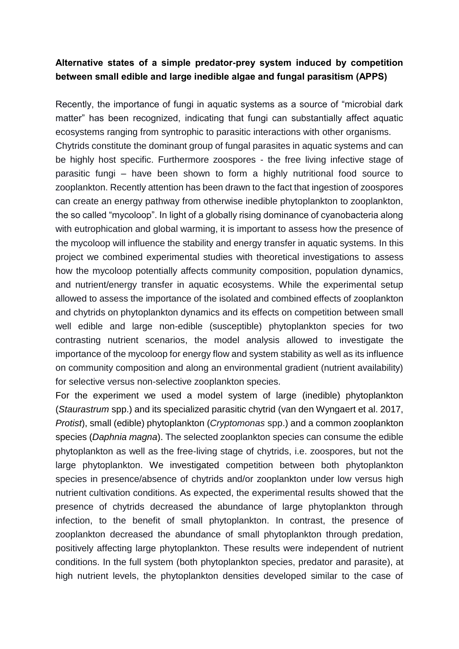## **Alternative states of a simple predator-prey system induced by competition between small edible and large inedible algae and fungal parasitism (APPS)**

Recently, the importance of fungi in aquatic systems as a source of "microbial dark matter" has been recognized, indicating that fungi can substantially affect aquatic ecosystems ranging from syntrophic to parasitic interactions with other organisms. Chytrids constitute the dominant group of fungal parasites in aquatic systems and can be highly host specific. Furthermore zoospores - the free living infective stage of parasitic fungi – have been shown to form a highly nutritional food source to zooplankton. Recently attention has been drawn to the fact that ingestion of zoospores can create an energy pathway from otherwise inedible phytoplankton to zooplankton, the so called "mycoloop". In light of a globally rising dominance of cyanobacteria along with eutrophication and global warming, it is important to assess how the presence of the mycoloop will influence the stability and energy transfer in aquatic systems. In this project we combined experimental studies with theoretical investigations to assess how the mycoloop potentially affects community composition, population dynamics, and nutrient/energy transfer in aquatic ecosystems. While the experimental setup allowed to assess the importance of the isolated and combined effects of zooplankton and chytrids on phytoplankton dynamics and its effects on competition between small well edible and large non-edible (susceptible) phytoplankton species for two contrasting nutrient scenarios, the model analysis allowed to investigate the importance of the mycoloop for energy flow and system stability as well as its influence on community composition and along an environmental gradient (nutrient availability) for selective versus non-selective zooplankton species.

For the experiment we used a model system of large (inedible) phytoplankton (*Staurastrum* spp.) and its specialized parasitic chytrid (van den Wyngaert et al. 2017, *Protist*), small (edible) phytoplankton (*Cryptomonas* spp.) and a common zooplankton species (*Daphnia magna*). The selected zooplankton species can consume the edible phytoplankton as well as the free-living stage of chytrids, i.e. zoospores, but not the large phytoplankton. We investigated competition between both phytoplankton species in presence/absence of chytrids and/or zooplankton under low versus high nutrient cultivation conditions. As expected, the experimental results showed that the presence of chytrids decreased the abundance of large phytoplankton through infection, to the benefit of small phytoplankton. In contrast, the presence of zooplankton decreased the abundance of small phytoplankton through predation, positively affecting large phytoplankton. These results were independent of nutrient conditions. In the full system (both phytoplankton species, predator and parasite), at high nutrient levels, the phytoplankton densities developed similar to the case of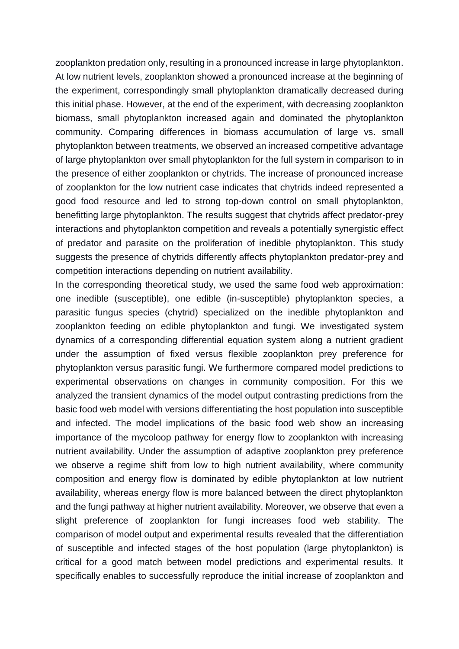zooplankton predation only, resulting in a pronounced increase in large phytoplankton. At low nutrient levels, zooplankton showed a pronounced increase at the beginning of the experiment, correspondingly small phytoplankton dramatically decreased during this initial phase. However, at the end of the experiment, with decreasing zooplankton biomass, small phytoplankton increased again and dominated the phytoplankton community. Comparing differences in biomass accumulation of large vs. small phytoplankton between treatments, we observed an increased competitive advantage of large phytoplankton over small phytoplankton for the full system in comparison to in the presence of either zooplankton or chytrids. The increase of pronounced increase of zooplankton for the low nutrient case indicates that chytrids indeed represented a good food resource and led to strong top-down control on small phytoplankton, benefitting large phytoplankton. The results suggest that chytrids affect predator-prey interactions and phytoplankton competition and reveals a potentially synergistic effect of predator and parasite on the proliferation of inedible phytoplankton. This study suggests the presence of chytrids differently affects phytoplankton predator-prey and competition interactions depending on nutrient availability.

In the corresponding theoretical study, we used the same food web approximation: one inedible (susceptible), one edible (in-susceptible) phytoplankton species, a parasitic fungus species (chytrid) specialized on the inedible phytoplankton and zooplankton feeding on edible phytoplankton and fungi. We investigated system dynamics of a corresponding differential equation system along a nutrient gradient under the assumption of fixed versus flexible zooplankton prey preference for phytoplankton versus parasitic fungi. We furthermore compared model predictions to experimental observations on changes in community composition. For this we analyzed the transient dynamics of the model output contrasting predictions from the basic food web model with versions differentiating the host population into susceptible and infected. The model implications of the basic food web show an increasing importance of the mycoloop pathway for energy flow to zooplankton with increasing nutrient availability. Under the assumption of adaptive zooplankton prey preference we observe a regime shift from low to high nutrient availability, where community composition and energy flow is dominated by edible phytoplankton at low nutrient availability, whereas energy flow is more balanced between the direct phytoplankton and the fungi pathway at higher nutrient availability. Moreover, we observe that even a slight preference of zooplankton for fungi increases food web stability. The comparison of model output and experimental results revealed that the differentiation of susceptible and infected stages of the host population (large phytoplankton) is critical for a good match between model predictions and experimental results. It specifically enables to successfully reproduce the initial increase of zooplankton and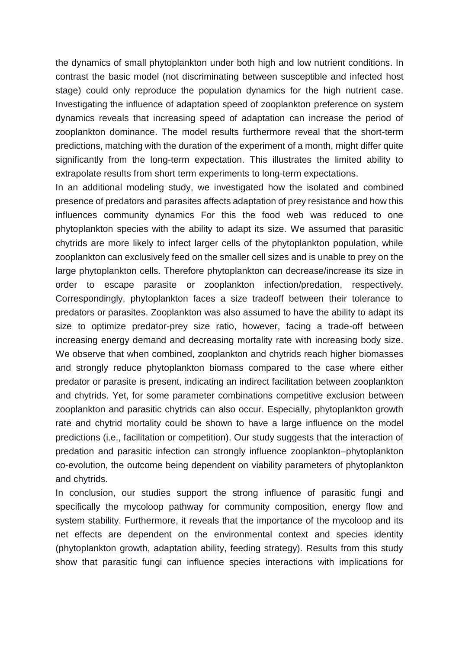the dynamics of small phytoplankton under both high and low nutrient conditions. In contrast the basic model (not discriminating between susceptible and infected host stage) could only reproduce the population dynamics for the high nutrient case. Investigating the influence of adaptation speed of zooplankton preference on system dynamics reveals that increasing speed of adaptation can increase the period of zooplankton dominance. The model results furthermore reveal that the short-term predictions, matching with the duration of the experiment of a month, might differ quite significantly from the long-term expectation. This illustrates the limited ability to extrapolate results from short term experiments to long-term expectations.

In an additional modeling study, we investigated how the isolated and combined presence of predators and parasites affects adaptation of prey resistance and how this influences community dynamics For this the food web was reduced to one phytoplankton species with the ability to adapt its size. We assumed that parasitic chytrids are more likely to infect larger cells of the phytoplankton population, while zooplankton can exclusively feed on the smaller cell sizes and is unable to prey on the large phytoplankton cells. Therefore phytoplankton can decrease/increase its size in order to escape parasite or zooplankton infection/predation, respectively. Correspondingly, phytoplankton faces a size tradeoff between their tolerance to predators or parasites. Zooplankton was also assumed to have the ability to adapt its size to optimize predator-prey size ratio, however, facing a trade-off between increasing energy demand and decreasing mortality rate with increasing body size. We observe that when combined, zooplankton and chytrids reach higher biomasses and strongly reduce phytoplankton biomass compared to the case where either predator or parasite is present, indicating an indirect facilitation between zooplankton and chytrids. Yet, for some parameter combinations competitive exclusion between zooplankton and parasitic chytrids can also occur. Especially, phytoplankton growth rate and chytrid mortality could be shown to have a large influence on the model predictions (i.e., facilitation or competition). Our study suggests that the interaction of predation and parasitic infection can strongly influence zooplankton–phytoplankton co-evolution, the outcome being dependent on viability parameters of phytoplankton and chytrids.

In conclusion, our studies support the strong influence of parasitic fungi and specifically the mycoloop pathway for community composition, energy flow and system stability. Furthermore, it reveals that the importance of the mycoloop and its net effects are dependent on the environmental context and species identity (phytoplankton growth, adaptation ability, feeding strategy). Results from this study show that parasitic fungi can influence species interactions with implications for